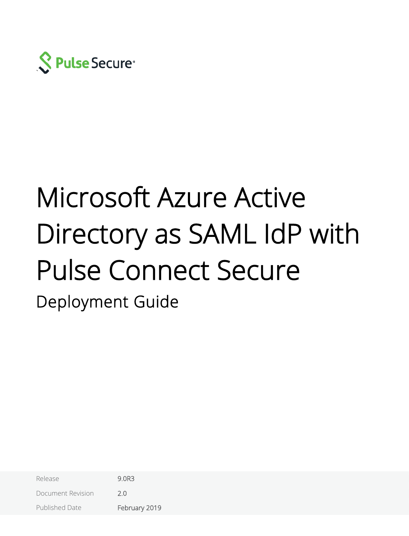

# Microsoft Azure Active Directory as SAML IdP with Pulse Connect Secure

Deployment Guide

Release 9.0R3 Document Revision 2.0 Published Date February 2019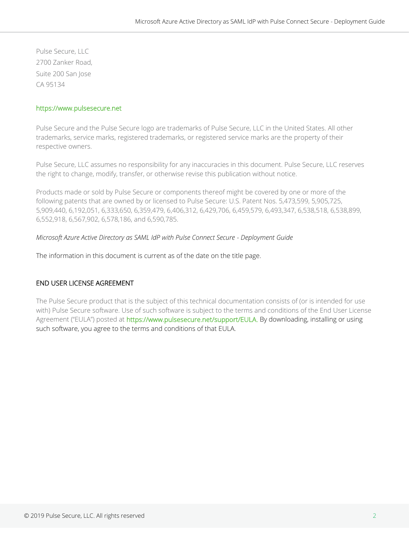Pulse Secure, LLC 2700 Zanker Road, Suite 200 San Jose CA 95134

## [https://www.pulsesecure.net](https://www.pulsesecure.net/)

Pulse Secure and the Pulse Secure logo are trademarks of Pulse Secure, LLC in the United States. All other trademarks, service marks, registered trademarks, or registered service marks are the property of their respective owners.

Pulse Secure, LLC assumes no responsibility for any inaccuracies in this document. Pulse Secure, LLC reserves the right to change, modify, transfer, or otherwise revise this publication without notice.

Products made or sold by Pulse Secure or components thereof might be covered by one or more of the following patents that are owned by or licensed to Pulse Secure: U.S. Patent Nos. 5,473,599, 5,905,725, 5,909,440, 6,192,051, 6,333,650, 6,359,479, 6,406,312, 6,429,706, 6,459,579, 6,493,347, 6,538,518, 6,538,899, 6,552,918, 6,567,902, 6,578,186, and 6,590,785.

## *Microsoft Azure Active Directory as SAML IdP with Pulse Connect Secure - Deployment Guide*

The information in this document is current as of the date on the title page.

## END USER LICENSE AGREEMENT

The Pulse Secure product that is the subject of this technical documentation consists of (or is intended for use with) Pulse Secure software. Use of such software is subject to the terms and conditions of the End User License Agreement ("EULA") posted at [https://www.pulsesecure.net/support/EULA.](https://www.pulsesecure.net/support/EULA) By downloading, installing or using such software, you agree to the terms and conditions of that EULA.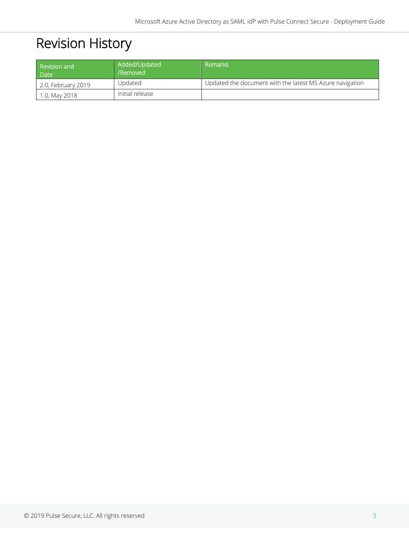# <span id="page-2-0"></span>Revision History

| Revision and<br><b>Date</b> | Added/Updated<br>/Removed | <b>Remarks</b>                                           |
|-----------------------------|---------------------------|----------------------------------------------------------|
| 2.0, February 2019          | Updated                   | Updated the document with the latest MS Azure navigation |
| 1.0, May 2018               | Initial release           |                                                          |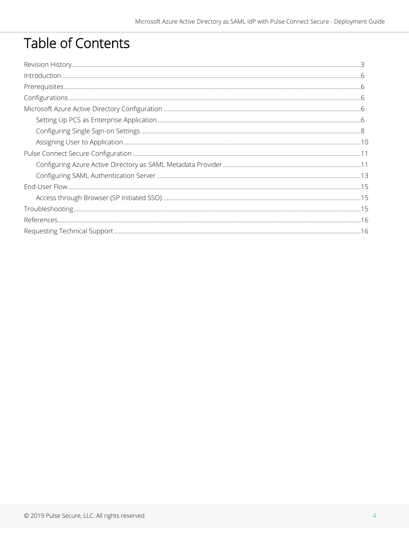# **Table of Contents**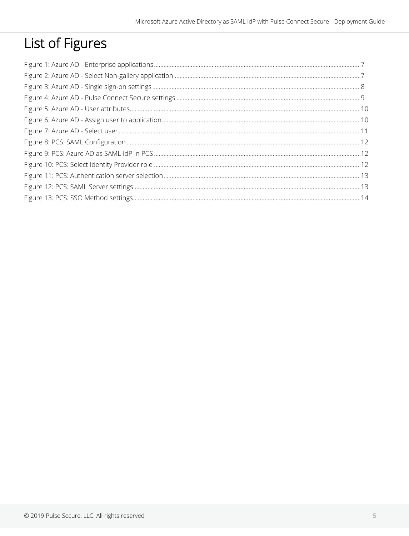# List of Figures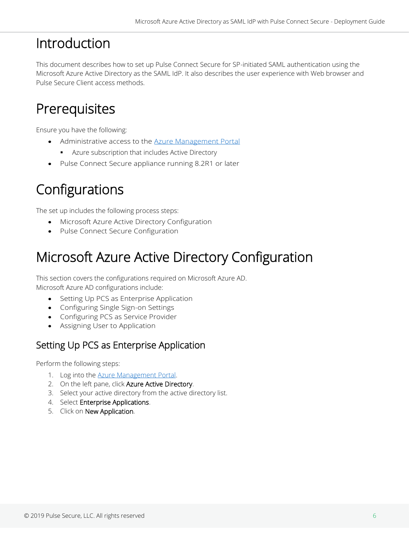## <span id="page-5-0"></span>Introduction

This document describes how to set up Pulse Connect Secure for SP-initiated SAML authentication using the Microsoft Azure Active Directory as the SAML IdP. It also describes the user experience with Web browser and Pulse Secure Client access methods.

# <span id="page-5-1"></span>Prerequisites

Ensure you have the following:

- Administrative access to the [Azure Management Portal](https://portal.azure.com/)
	- **EXECT:** Azure subscription that includes Active Directory
- Pulse Connect Secure appliance running 8.2R1 or later

# <span id="page-5-2"></span>Configurations

The set up includes the following process steps:

- [Microsoft Azure Active Directory Configuration](#page-5-3)
- [Pulse Connect Secure Configuration](#page-10-0)

# <span id="page-5-3"></span>Microsoft Azure Active Directory Configuration

This section covers the configurations required on Microsoft Azure AD. Microsoft Azure AD configurations include:

- [Setting Up PCS as Enterprise Application](#page-5-4)
- [Configuring Single Sign-on Settings](#page-7-0)
- Configuring PCS as Service Provider
- [Assigning User to Application](#page-9-0)

## <span id="page-5-4"></span>Setting Up PCS as Enterprise Application

Perform the following steps:

- 1. Log into the **Azure Management Portal**.
- 2. On the left pane, click Azure Active Directory.
- 3. Select your active directory from the active directory list.
- 4. Select Enterprise Applications.
- 5. Click on New Application.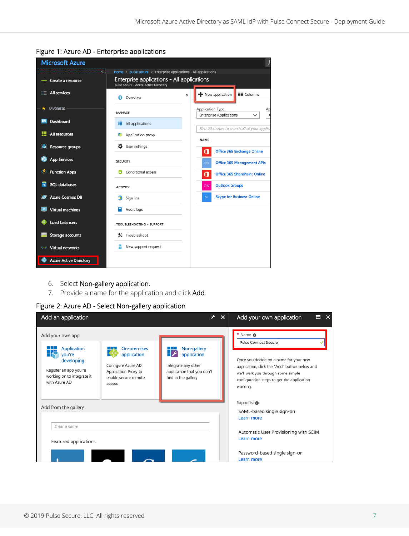| <b>Microsoft Azure</b>         |                                                                                     |                                                                          |
|--------------------------------|-------------------------------------------------------------------------------------|--------------------------------------------------------------------------|
| кł                             | Home > pulse secure > Enterprise applications - All applications                    |                                                                          |
| Create a resource              | Enterprise applications - All applications<br>pulse secure - Azure Active Directory |                                                                          |
| <b>All services</b>            | Overview<br>A                                                                       | $\equiv$ Columns<br>New application<br>$\ll$                             |
| <b>FAVORITES</b>               | MANAGE                                                                              | Application Type<br>Аp<br><b>Enterprise Applications</b><br>$\checkmark$ |
| Dashboard                      | All applications<br>m                                                               | First 20 shown, to search all of your applic.                            |
| ₩<br>All resources             | 夦<br>Application proxy                                                              | <b>NAME</b>                                                              |
| M<br>Resource groups           | User settings<br>ᅕ                                                                  | g<br><b>Office 365 Exchange Online</b>                                   |
| <b>App Services</b>            | <b>SECURITY</b>                                                                     | <b>Office 365 Management APIs</b><br>O3                                  |
| <b>Function Apps</b>           | Conditional access                                                                  | Ω<br><b>Office 365 SharePoint Online</b>                                 |
| <b>SOL databases</b>           | <b>ACTIVITY</b>                                                                     | <b>Outlook Groups</b><br>GW                                              |
| <b>Azure Cosmos DB</b><br>`Ø   | ூ<br>Sign-ins                                                                       | <b>Skype for Business Online</b><br>SF                                   |
| <b>Virtual machines</b>        | Audit logs                                                                          |                                                                          |
| <b>Load balancers</b>          | TROUBLESHOOTING + SUPPORT                                                           |                                                                          |
| Storage accounts               | X Troubleshoot                                                                      |                                                                          |
| <b>Virtual networks</b><br>(⊷) | New support request                                                                 |                                                                          |
| <b>Azure Active Directory</b>  |                                                                                     |                                                                          |

## <span id="page-6-0"></span>Figure 1: Azure AD - Enterprise applications

- 6. Select Non-gallery application.
- 7. Provide a name for the application and click Add.

## Figure 2: Azure AD - Select Non-gallery application

<span id="page-6-1"></span>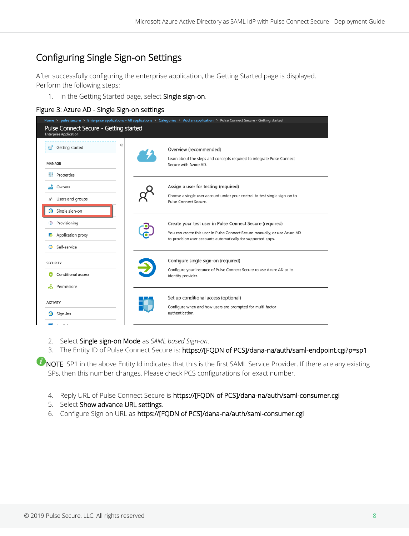## <span id="page-7-0"></span>Configuring Single Sign-on Settings

After successfully configuring the enterprise application, the Getting Started page is displayed. Perform the following steps:

1. In the Getting Started page, select Single sign-on.

#### <span id="page-7-1"></span>Figure 3: Azure AD - Single Sign-on settings

| Pulse Connect Secure - Getting started<br><b>Enterprise Application</b> | Home > pulse secure > Enterprise applications - All applications > Categories > Add an application > Pulse Connect Secure - Getting started                                                            |
|-------------------------------------------------------------------------|--------------------------------------------------------------------------------------------------------------------------------------------------------------------------------------------------------|
| ≪<br>Getting started<br>r.<br>MANAGE<br>Properties                      | Overview (recommended)<br>Learn about the steps and concepts required to integrate Pulse Connect<br>Secure with Azure AD.                                                                              |
| Owners<br>Users and groups<br>x<br>Single sign-on<br>Э                  | Assign a user for testing (required)<br>Choose a single user account under your control to test single sign-on to<br>Pulse Connect Secure.                                                             |
| Provisioning<br>邯<br>Application proxy<br>Self-service<br>ദ             | Create your test user in Pulse Connect Secure (required)<br>You can create this user in Pulse Connect Secure manually, or use Azure AD<br>to provision user accounts automatically for supported apps. |
| <b>SECURITY</b><br>Conditional access<br>Permissions                    | Configure single sign-on (required)<br>Configure your instance of Pulse Connect Secure to use Azure AD as its<br>identity provider.                                                                    |
| <b>ACTIVITY</b><br>€<br>Sign-ins                                        | Set up conditional access (optional)<br>Configure when and how users are prompted for multi-factor<br>authentication.                                                                                  |

- 2. Select Single sign-on Mode as *SAML based Sign-on*.
- 3. The Entity ID of Pulse Connect Secure is: https://[FQDN of PCS]/dana-na/auth/saml-endpoint.cgi?p=sp1

**UNOTE:** SP1 in the above Entity Id indicates that this is the first SAML Service Provider. If there are any existing SPs, then this number changes. Please check PCS configurations for exact number.

- 4. Reply URL of Pulse Connect Secure is https://[FQDN of PCS]/dana-na/auth/saml-consumer.cgi
- 5. Select Show advance URL settings.
- 6. Configure Sign on URL as https://[FQDN of PCS]/dana-na/auth/saml-consumer.cgi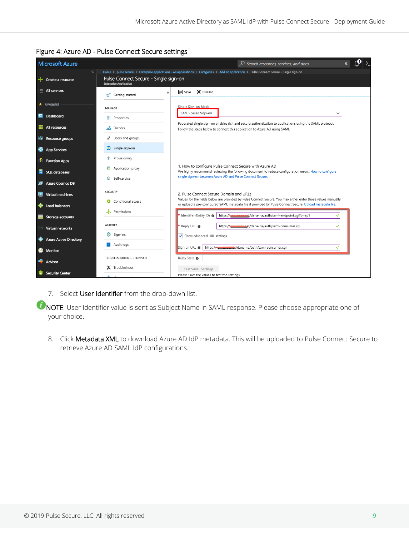| <b>Microsoft Azure</b>             |                                                                        | $\mathcal{P}$ Search resources, services, and docs                                                                                                                                                                           |  |  |  |  |  |  |
|------------------------------------|------------------------------------------------------------------------|------------------------------------------------------------------------------------------------------------------------------------------------------------------------------------------------------------------------------|--|--|--|--|--|--|
| $\ll$<br>Create a resource         | Pulse Connect Secure - Single sign-on<br><b>Enterprise Application</b> | Home > pulse secure > Enterprise applications - All applications > Categories > Add an application > Pulse Connect Secure - Single sign-on                                                                                   |  |  |  |  |  |  |
| $\frac{1}{2}$ All services         | Getting started<br>ď                                                   | <b>H</b> Save X Discard<br>$\ll$                                                                                                                                                                                             |  |  |  |  |  |  |
| $\bigstar$ FAVORITES               | MANAGE                                                                 | Single Sign-on Mode                                                                                                                                                                                                          |  |  |  |  |  |  |
| E.<br>Dashboard                    | H Properties                                                           | SAML-based Sign-on                                                                                                                                                                                                           |  |  |  |  |  |  |
| <b>HI</b> All resources            | аÑ.<br>Owners                                                          | Federated single sign-on enables rich and secure authentication to applications using the SAML protocol.<br>Follow the steps below to connect this application to Azure AD using SAML.                                       |  |  |  |  |  |  |
| Resource groups                    | Å<br>Users and groups                                                  |                                                                                                                                                                                                                              |  |  |  |  |  |  |
| G<br><b>App Services</b>           | $\supseteq$ Single sign-on                                             |                                                                                                                                                                                                                              |  |  |  |  |  |  |
| <b>Function Apps</b><br>◈          | ٧<br>Provisioning                                                      |                                                                                                                                                                                                                              |  |  |  |  |  |  |
| 赢<br><b>SOL databases</b>          | 黟<br>Application proxy                                                 | 1. How to configure Pulse Connect Secure with Azure AD<br>We highly recommend reviewing the following document to reduce configuration errors. How to configure<br>single sign-on between Azure AD and Pulse Connect Secure. |  |  |  |  |  |  |
| <b>AP</b> Azure Cosmos DB          | e<br>Self-service                                                      |                                                                                                                                                                                                                              |  |  |  |  |  |  |
| <b>Virtual machines</b>            | <b>SECURITY</b>                                                        | 2. Pulse Connect Secure Domain and URLs                                                                                                                                                                                      |  |  |  |  |  |  |
| Load balancers                     | Conditional access<br>$\bullet$                                        | Values for the fields below are provided by Pulse Connect Secure. You may either enter those values manually,<br>or upload a pre-configured SAML metadata file if provided by Pulse Connect Secure. Upload metadata file.    |  |  |  |  |  |  |
| Storage accounts                   | ፌ<br>Permissions                                                       | https://www.come.na/auth/saml-endpoint.cgi?p=sp1<br>* Identifier (Entity ID) @                                                                                                                                               |  |  |  |  |  |  |
| $\leftrightarrow$ Virtual networks | <b>ACTIVITY</b>                                                        | * Reply URL @<br>https://www.mear.net/dana-na/auth/saml-consumer.cqi<br>◡                                                                                                                                                    |  |  |  |  |  |  |
| <b>Azure Active Directory</b>      | $\overline{\mathbf{3}}$ Sign-ins                                       | Show advanced URL settings                                                                                                                                                                                                   |  |  |  |  |  |  |
| e<br>Monitor                       | $\blacksquare$ Audit logs                                              | https://www.communit/dana-na/auth/saml-consumer.cgi<br>Sign on URL @                                                                                                                                                         |  |  |  |  |  |  |
| Advisor                            | TROUBLESHOOTING + SUPPORT                                              | Relay State <sup>O</sup>                                                                                                                                                                                                     |  |  |  |  |  |  |
| <b>Security Center</b>             | X Troubleshoot                                                         | <b>Test SAML Settings</b><br>Please Save the values to test the settings.                                                                                                                                                    |  |  |  |  |  |  |

## <span id="page-8-0"></span>Figure 4: Azure AD - Pulse Connect Secure settings

7. Select User Identifier from the drop-down list.

**C** NOTE: User Identifier value is sent as Subject Name in SAML response. Please choose appropriate one of your choice.

8. Click Metadata XML to download Azure AD IdP metadata. This will be uploaded to Pulse Connect Secure to retrieve Azure AD SAML IdP configurations.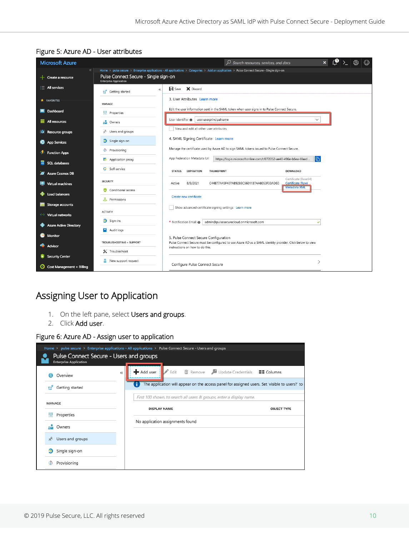| <b>Microsoft Azure</b>             |                                                                        | Search resources, services, and docs                                                                                                              |  | ⊙ |
|------------------------------------|------------------------------------------------------------------------|---------------------------------------------------------------------------------------------------------------------------------------------------|--|---|
| $\ll$<br>Create a resource         | Pulse Connect Secure - Single sign-on<br><b>Enterprise Application</b> | Home > pulse secure > Enterprise applications - All applications > Categories > Add an application > Pulse Connect Secure - Single sign-on        |  |   |
| $\frac{1}{2}$ All services         | $\ll$<br>Getting started                                               | R Save X Discard                                                                                                                                  |  |   |
| $\bigstar$ FAVORITES               | MANAGE                                                                 | 3. User Attributes Learn more                                                                                                                     |  |   |
| <b>In Dashboard</b>                | HH<br>Properties                                                       | Edit the user information sent in the SAML token when user signs in to Pulse Connect Secure.                                                      |  |   |
| ₩<br>All resources                 | аÑ.<br>Owners                                                          | user.userprincipalname<br>User Identifier @<br>$\checkmark$                                                                                       |  |   |
| Resource groups<br>M               | Users and groups<br>R,                                                 | View and edit all other user attributes                                                                                                           |  |   |
| <b>App Services</b><br>ю           | Single sign-on<br>ூ                                                    | 4. SAML Signing Certificate Learn more                                                                                                            |  |   |
| <b>Function Apps</b><br>◈          | ⊗<br>Provisioning                                                      | Manage the certificate used by Azure AD to sign SAML tokens issued to Pulse Connect Secure.                                                       |  |   |
| $\frac{1}{2}$<br>SQL databases     | Application proxy<br>夦                                                 | App Federation Metadata Url<br>$\mathbb{P}$<br>https://loqin.microsoftonline.com/cf072052-ae40-496e-b6ea-6faad                                    |  |   |
| <b>Azure Cosmos DB</b><br>Ø        | <b>G</b> Self-service                                                  | THUMBPRINT<br>DOWNLOAD<br><b>STATUS</b><br><b>EXPIRATION</b>                                                                                      |  |   |
| <b>Virtual machines</b>            | <b>SECURITY</b>                                                        | Certificate (Base64)<br>8/9/2021<br>C44B77A45F407AB92B9C5601137AA8053F33AD60<br>Certificate (Raw)<br>Active<br><b>Metadata XML</b>                |  |   |
| Load balancers                     | a<br>Conditional access                                                | Create new certificate                                                                                                                            |  |   |
| Storage accounts                   | ፌ<br>Permissions                                                       |                                                                                                                                                   |  |   |
| $\leftrightarrow$ Virtual networks | <b>ACTIVITY</b>                                                        | Show advanced certificate signing settings Learn more                                                                                             |  |   |
| <b>Azure Active Directory</b>      | $\overline{\mathbf{3}}$ Sign-ins                                       | * Notification Email <sup>O</sup><br>admin@pulsesecurecloud.onmicrosoft.com<br>$\checkmark$                                                       |  |   |
| Monitor                            | Audit logs                                                             |                                                                                                                                                   |  |   |
| <b>Advisor</b>                     | TROUBLESHOOTING + SUPPORT                                              | 5. Pulse Connect Secure Configuration<br>Pulse Connect Secure must be configured to use Azure AD as a SAML identity provider. Click below to view |  |   |
|                                    | X Troubleshoot                                                         | instructions on how to do this.                                                                                                                   |  |   |
| <b>Security Center</b>             | я<br>New support request                                               | Configure Pulse Connect Secure                                                                                                                    |  |   |
| Cost Management + Billing          |                                                                        |                                                                                                                                                   |  |   |

## <span id="page-9-1"></span>Figure 5: Azure AD - User attributes

## <span id="page-9-0"></span>Assigning User to Application

- 1. On the left pane, select Users and groups.
- 2. Click Add user.

## <span id="page-9-2"></span>Figure 6: Azure AD - Assign user to application

|                                                                          | Home > pulse secure > Enterprise applications - All applications > Pulse Connect Secure - Users and groups |                    |
|--------------------------------------------------------------------------|------------------------------------------------------------------------------------------------------------|--------------------|
| Pulse Connect Secure - Users and groups<br><b>Enterprise Application</b> |                                                                                                            |                    |
| Overview                                                                 | $\Phi^{\text{max}}$<br>+ Add user<br>Edit<br>m Remove Update Credentials <b>EE Columns</b><br>《            |                    |
| Getting started                                                          | The application will appear on the access panel for assigned users. Set 'visible to users?' to<br>n        |                    |
|                                                                          | First 100 shown, to search all users & groups, enter a display name.                                       |                    |
| MANAGE                                                                   | <b>DISPLAY NAME</b>                                                                                        | <b>OBJECT TYPE</b> |
| Properties                                                               |                                                                                                            |                    |
| Owners                                                                   | No application assignments found                                                                           |                    |
| Users and groups<br>x                                                    |                                                                                                            |                    |
| Single sign-on<br>€                                                      |                                                                                                            |                    |
| Provisioning                                                             |                                                                                                            |                    |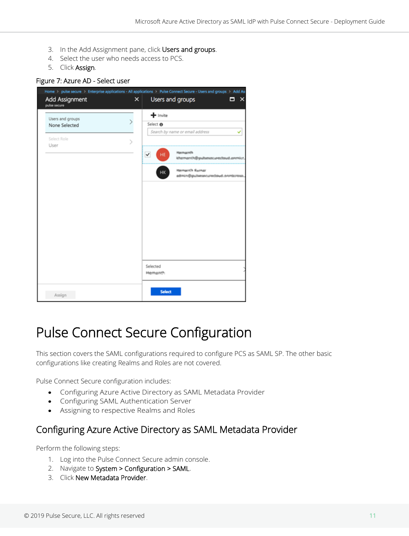- 3. In the Add Assignment pane, click Users and groups.
- 4. Select the user who needs access to PCS.
- 5. Click Assign.

#### <span id="page-10-2"></span>Figure 7: Azure AD - Select user

| Add Assignment<br>pulse secure    | × | Users and groups                                                           | × |
|-----------------------------------|---|----------------------------------------------------------------------------|---|
| Users and groups<br>None Selected |   | + Invite<br>Select <b>O</b>                                                |   |
| Select Role<br>User               | ) | Search by name or email address                                            | ✓ |
|                                   |   | <b>Harmareth</b><br>$\checkmark$<br>HE<br>khemanth@gubasecuredaud.ornricr. |   |
|                                   |   | <b>Harmarch Europe</b><br>HK<br>admin@quitesecuredaud.onmicress.           |   |
|                                   |   |                                                                            |   |
|                                   |   |                                                                            |   |
|                                   |   |                                                                            |   |
|                                   |   |                                                                            |   |
|                                   |   |                                                                            |   |
|                                   |   | Selected<br>Hemanth                                                        |   |
|                                   |   |                                                                            |   |

# <span id="page-10-0"></span>Pulse Connect Secure Configuration

This section covers the SAML configurations required to configure PCS as SAML SP. The other basic configurations like creating Realms and Roles are not covered.

Pulse Connect Secure configuration includes:

- [Configuring Azure Active Directory as SAML Metadata Provider](#page-10-1)
- [Configuring SAML Authentication Server](#page-12-0)
- Assigning to respective Realms and Roles

## <span id="page-10-1"></span>Configuring Azure Active Directory as SAML Metadata Provider

Perform the following steps:

- 1. Log into the Pulse Connect Secure admin console.
- 2. Navigate to System > Configuration > SAML.
- 3. Click New Metadata Provider.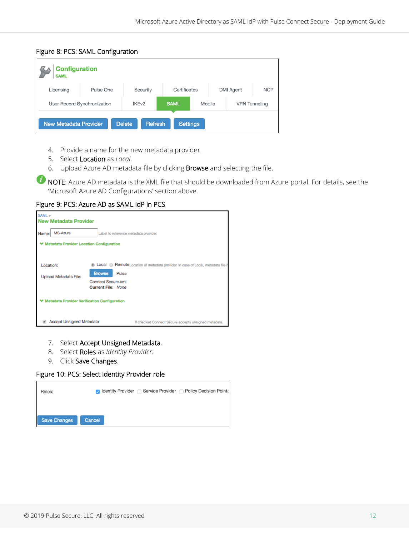## <span id="page-11-0"></span>Figure 8: PCS: SAML Configuration

| <b>Configuration</b><br><b>SAML</b>                                                               |           |          |              |  |  |                  |            |
|---------------------------------------------------------------------------------------------------|-----------|----------|--------------|--|--|------------------|------------|
| Licensing                                                                                         | Pulse One | Security | Certificates |  |  | <b>DMI Agent</b> | <b>NCP</b> |
| <b>SAML</b><br>IKE <sub>v2</sub><br>Mobile<br>User Record Synchronization<br><b>VPN</b> Tunneling |           |          |              |  |  |                  |            |
| <b>New Metadata Provider</b><br><b>Refresh</b><br><b>Settings</b><br><b>Delete</b>                |           |          |              |  |  |                  |            |

- 4. Provide a name for the new metadata provider.
- 5. Select Location as *Local*.
- 6. Upload Azure AD metadata file by clicking Browse and selecting the file.

**O NOTE:** Azure AD metadata is the XML file that should be downloaded from Azure portal. For details, see the 'Microsoft Azure AD Configurations' section above.

#### <span id="page-11-1"></span>Figure 9: PCS: Azure AD as SAML IdP in PCS

| SAML ><br>New Metadata Provider                                                           |                                                                           |                                                                                         |
|-------------------------------------------------------------------------------------------|---------------------------------------------------------------------------|-----------------------------------------------------------------------------------------|
| MS-Azure<br>Name:                                                                         | Label to reference metadata provider.                                     |                                                                                         |
| <b>Metadata Provider Location Configuration</b>                                           |                                                                           |                                                                                         |
| Location:<br>Upload Metadata File:<br><b>Metadata Provider Verification Configuration</b> | <b>Browse</b><br>Pulse<br>Connect Secure.xml<br><b>Current File: None</b> | <b>E Local @</b> RemoteLocation of metadata provider. In case of Local, metadata file r |
| Accept Unsigned Metadata                                                                  |                                                                           | If checked Connect Secure accepts unsigned metadata.                                    |

- 7. Select Accept Unsigned Metadata.
- 8. Select Roles as *Identity Provider*.
- 9. Click Save Changes.

#### Figure 10: PCS: Select Identity Provider role

<span id="page-11-2"></span>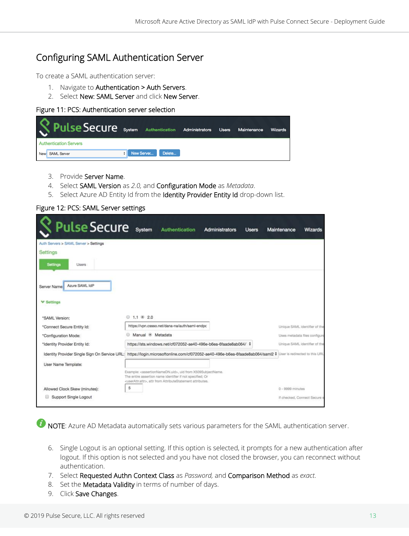## <span id="page-12-0"></span>Configuring SAML Authentication Server

To create a SAML authentication server:

- 1. Navigate to Authentication > Auth Servers.
- 2. Select New: SAML Server and click New Server.

#### <span id="page-12-1"></span>Figure 11: PCS: Authentication server selection

| Neulse Secure System Authentication Administrators |                   | <b>Users</b> | Maintenance | <b>Wizards</b> |
|----------------------------------------------------|-------------------|--------------|-------------|----------------|
| <b>Authentication Servers</b>                      |                   |              |             |                |
| New: SAML Server                                   | New Server Delete |              |             |                |

- 3. Provide Server Name.
- 4. Select SAML Version as *2.0,* and Configuration Mode as *Metadata*.
- 5. Select Azure AD Entity Id from the Identity Provider Entity Id drop-down list.

## <span id="page-12-2"></span>Figure 12: PCS: SAML Server settings

| Pulse Secure System                           |                                                                                                               | <b>Authentication</b>                                                                                                                                                                                                       | Administrators | <b>Users</b> | Maintenance        | Wizards                       |
|-----------------------------------------------|---------------------------------------------------------------------------------------------------------------|-----------------------------------------------------------------------------------------------------------------------------------------------------------------------------------------------------------------------------|----------------|--------------|--------------------|-------------------------------|
| Auth Servers > SAML Server > Settings         |                                                                                                               |                                                                                                                                                                                                                             |                |              |                    |                               |
| Settings                                      |                                                                                                               |                                                                                                                                                                                                                             |                |              |                    |                               |
| Settings<br>Users                             |                                                                                                               |                                                                                                                                                                                                                             |                |              |                    |                               |
| Azure SAML IdP<br>Server Name:                |                                                                                                               |                                                                                                                                                                                                                             |                |              |                    |                               |
| <b>▼ Settings</b>                             |                                                                                                               |                                                                                                                                                                                                                             |                |              |                    |                               |
| *SAML Version:                                | 01.102.0                                                                                                      |                                                                                                                                                                                                                             |                |              |                    |                               |
| *Connect Secure Entity Id:                    |                                                                                                               | https://vpn.cssso.net/dana-na/auth/saml-endpc                                                                                                                                                                               |                |              |                    | Unique SAML Identifier of the |
| *Configuration Mode:                          | Manual <sup>@</sup> Metadata                                                                                  |                                                                                                                                                                                                                             |                |              |                    | Uses metadata files configure |
| *Identity Provider Entity Id:                 |                                                                                                               | https://sts.windows.net/cf072052-ae40-496e-b6ea-6faade8ab064/ $\div$                                                                                                                                                        |                |              |                    | Unique SAML identifier of the |
| Identity Provider Single Sign On Service URL: | https://login.microsoftonline.com/cf072052-ae40-496e-b6ea-6faade8ab064/saml2 # User is redirected to this URL |                                                                                                                                                                                                                             |                |              |                    |                               |
| User Name Template:                           |                                                                                                               |                                                                                                                                                                                                                             |                |              |                    |                               |
|                                               |                                                                                                               | Example: <assertionnamedn.uid>, uid from X509SubjectName.<br/>The entire assertion name identifier if not specified; Or<br/><userattr.attr>, attr from AttributeStatement attributes.</userattr.attr></assertionnamedn.uid> |                |              |                    |                               |
| Allowed Clock Skew (minutes):                 | 5                                                                                                             |                                                                                                                                                                                                                             |                |              | $0 - 9999$ minutes |                               |
| Support Single Logout                         |                                                                                                               |                                                                                                                                                                                                                             |                |              |                    | If checked, Connect Secure s  |

**O** NOTE: Azure AD Metadata automatically sets various parameters for the SAML authentication server.

- 6. Single Logout is an optional setting. If this option is selected, it prompts for a new authentication after logout. If this option is not selected and you have not closed the browser, you can reconnect without authentication.
- 7. Select Requested Authn Context Class as *Password,* and Comparison Method as *exact*.
- 8. Set the **Metadata Validity** in terms of number of days.
- 9. Click Save Changes.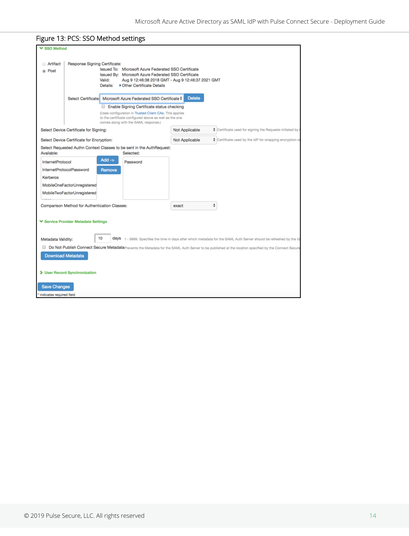<span id="page-13-0"></span>

| Figure 13: PCS: SSO Method settings |  |
|-------------------------------------|--|
|-------------------------------------|--|

| <b>▼ SSO Method</b>                                                                                                                                                                                                                                                       |                                                                                                                                                           |                                            |            |                                                        |  |  |  |  |  |
|---------------------------------------------------------------------------------------------------------------------------------------------------------------------------------------------------------------------------------------------------------------------------|-----------------------------------------------------------------------------------------------------------------------------------------------------------|--------------------------------------------|------------|--------------------------------------------------------|--|--|--|--|--|
| Artifact<br>Response Signing Certificate:<br>Issued To: Microsoft Azure Federated SSO Certificate<br>Post<br>Issued By: Microsoft Azure Federated SSO Certificate<br>Valid:<br>Aug 9 12:46:38 2018 GMT - Aug 9 12:46:37 2021 GMT<br>Details:<br>Cther Certificate Details |                                                                                                                                                           |                                            |            |                                                        |  |  |  |  |  |
|                                                                                                                                                                                                                                                                           | <b>Delete</b><br>Select Certificate: Microsoft Azure Federated SSO Certificate ♦                                                                          |                                            |            |                                                        |  |  |  |  |  |
|                                                                                                                                                                                                                                                                           |                                                                                                                                                           | Enable Signing Certificate status checking |            |                                                        |  |  |  |  |  |
|                                                                                                                                                                                                                                                                           | (Uses configuration in Trusted Client CAs. This applies<br>to the certificate configured above as well as the one<br>comes along with the SAML response.) |                                            |            |                                                        |  |  |  |  |  |
|                                                                                                                                                                                                                                                                           | Select Device Certificate for Signing:                                                                                                                    |                                            |            | Certificate used for signing the Requests initiated by |  |  |  |  |  |
|                                                                                                                                                                                                                                                                           | Select Device Certificate for Encryption:                                                                                                                 |                                            |            | Certificate used by the IdP for wrapping encryption ke |  |  |  |  |  |
| Select Requested Authn Context Classes to be sent in the AuthRequest:<br>Available:<br>Selected:                                                                                                                                                                          |                                                                                                                                                           |                                            |            |                                                        |  |  |  |  |  |
| <b>InternetProtocol</b>                                                                                                                                                                                                                                                   | $Add \rightarrow$                                                                                                                                         | Password                                   |            |                                                        |  |  |  |  |  |
|                                                                                                                                                                                                                                                                           | InternetProtocolPassword<br>Remove                                                                                                                        |                                            |            |                                                        |  |  |  |  |  |
| Kerberos                                                                                                                                                                                                                                                                  |                                                                                                                                                           |                                            |            |                                                        |  |  |  |  |  |
|                                                                                                                                                                                                                                                                           | MobileOneFactorUnregistered                                                                                                                               |                                            |            |                                                        |  |  |  |  |  |
|                                                                                                                                                                                                                                                                           | MobileTwoFactorUnregistered                                                                                                                               |                                            |            |                                                        |  |  |  |  |  |
| Comparison Method for Authentication Classes:                                                                                                                                                                                                                             |                                                                                                                                                           |                                            | ÷<br>exact |                                                        |  |  |  |  |  |
| <b>₩ Service Provider Metadata Settings</b>                                                                                                                                                                                                                               |                                                                                                                                                           |                                            |            |                                                        |  |  |  |  |  |
| 10<br>days 1 - 9999. Specifies the time in days after which metadata for the SAML Auth Server should be refreshed by the Id<br>Metadata Validity:                                                                                                                         |                                                                                                                                                           |                                            |            |                                                        |  |  |  |  |  |
| Do Not Publish Connect Secure Metadata Prevents the Metadata for the SAML Auth Server to be published at the location specified by the Connect Secure<br><b>Download Metadata</b>                                                                                         |                                                                                                                                                           |                                            |            |                                                        |  |  |  |  |  |
| > User Record Synchronization                                                                                                                                                                                                                                             |                                                                                                                                                           |                                            |            |                                                        |  |  |  |  |  |
| <b>Save Changes</b>                                                                                                                                                                                                                                                       |                                                                                                                                                           |                                            |            |                                                        |  |  |  |  |  |
| indicates required field                                                                                                                                                                                                                                                  |                                                                                                                                                           |                                            |            |                                                        |  |  |  |  |  |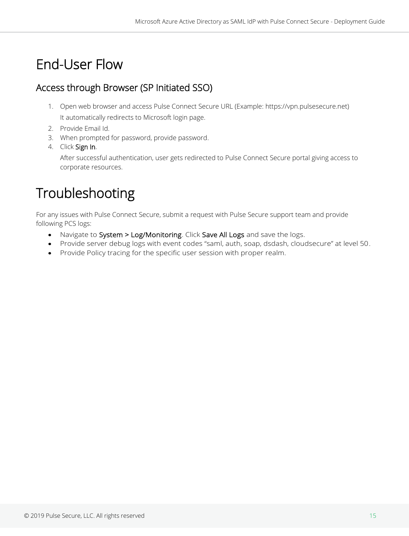# <span id="page-14-0"></span>End-User Flow

## <span id="page-14-1"></span>Access through Browser (SP Initiated SSO)

- 1. Open web browser and access Pulse Connect Secure URL (Example: https://vpn.pulsesecure.net) It automatically redirects to Microsoft login page.
- 2. Provide Email Id.
- 3. When prompted for password, provide password.
- 4. Click Sign In.

After successful authentication, user gets redirected to Pulse Connect Secure portal giving access to corporate resources.

# <span id="page-14-2"></span>Troubleshooting

For any issues with Pulse Connect Secure, submit a request with Pulse Secure support team and provide following PCS logs:

- Navigate to System > Log/Monitoring. Click Save All Logs and save the logs.
- Provide server debug logs with event codes "saml, auth, soap, dsdash, cloudsecure" at level 50.
- Provide Policy tracing for the specific user session with proper realm.